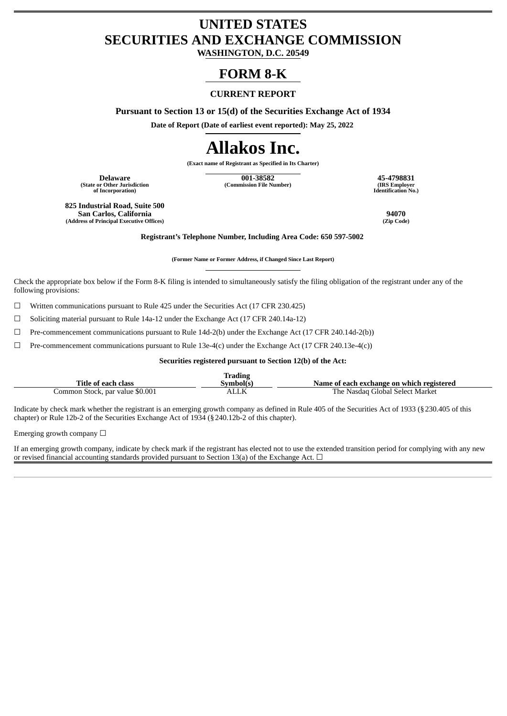## **UNITED STATES SECURITIES AND EXCHANGE COMMISSION**

**WASHINGTON, D.C. 20549**

### **FORM 8-K**

#### **CURRENT REPORT**

**Pursuant to Section 13 or 15(d) of the Securities Exchange Act of 1934**

**Date of Report (Date of earliest event reported): May 25, 2022**

# **Allakos Inc.**

**(Exact name of Registrant as Specified in Its Charter)**

**(State or Other Jurisdiction of Incorporation)**

**Delaware 001-38582 45-4798831 (Commission File Number) (IRS Employer**

**Identification No.)**

**825 Industrial Road, Suite 500 San Carlos, California 94070 (Address of Principal Executive Offices)** 

**Registrant's Telephone Number, Including Area Code: 650 597-5002**

**(Former Name or Former Address, if Changed Since Last Report)**

Check the appropriate box below if the Form 8-K filing is intended to simultaneously satisfy the filing obligation of the registrant under any of the following provisions:

 $\Box$  Written communications pursuant to Rule 425 under the Securities Act (17 CFR 230.425)

☐ Soliciting material pursuant to Rule 14a-12 under the Exchange Act (17 CFR 240.14a-12)

 $\Box$  Pre-commencement communications pursuant to Rule 14d-2(b) under the Exchange Act (17 CFR 240.14d-2(b))

 $\Box$  Pre-commencement communications pursuant to Rule 13e-4(c) under the Exchange Act (17 CFR 240.13e-4(c))

**Securities registered pursuant to Section 12(b) of the Act:**

| Title of each class             | <b>Trading</b><br>Symbol(s) | Name of each exchange on which registered |
|---------------------------------|-----------------------------|-------------------------------------------|
| Common Stock, par value \$0.001 | ALLK                        | The Nasdag Global Select Market           |

Indicate by check mark whether the registrant is an emerging growth company as defined in Rule 405 of the Securities Act of 1933 (§230.405 of this chapter) or Rule 12b-2 of the Securities Exchange Act of 1934 (§240.12b-2 of this chapter).

Emerging growth company  $\Box$ 

If an emerging growth company, indicate by check mark if the registrant has elected not to use the extended transition period for complying with any new or revised financial accounting standards provided pursuant to Section 13(a) of the Exchange Act.  $\Box$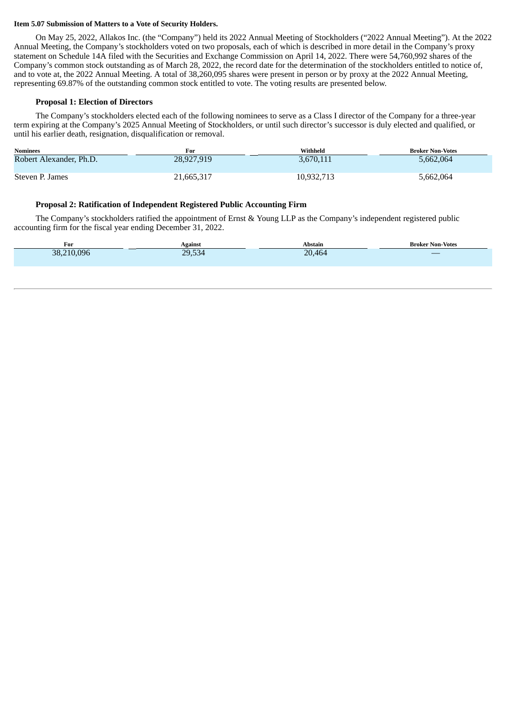#### **Item 5.07 Submission of Matters to a Vote of Security Holders.**

On May 25, 2022, Allakos Inc. (the "Company") held its 2022 Annual Meeting of Stockholders ("2022 Annual Meeting"). At the 2022 Annual Meeting, the Company's stockholders voted on two proposals, each of which is described in more detail in the Company's proxy statement on Schedule 14A filed with the Securities and Exchange Commission on April 14, 2022. There were 54,760,992 shares of the Company's common stock outstanding as of March 28, 2022, the record date for the determination of the stockholders entitled to notice of, and to vote at, the 2022 Annual Meeting. A total of 38,260,095 shares were present in person or by proxy at the 2022 Annual Meeting, representing 69.87% of the outstanding common stock entitled to vote. The voting results are presented below.

#### **Proposal 1: Election of Directors**

The Company's stockholders elected each of the following nominees to serve as a Class I director of the Company for a three-year term expiring at the Company's 2025 Annual Meeting of Stockholders, or until such director's successor is duly elected and qualified, or until his earlier death, resignation, disqualification or removal.

| <b>Nominees</b>         | For        | Withheld   | <b>Broker Non-Votes</b> |
|-------------------------|------------|------------|-------------------------|
| Robert Alexander, Ph.D. | 28,927,919 | 3,670,111  | 5,662,064               |
| Steven P. James         | 21,665,317 | 10,932,713 | 5,662,064               |

#### **Proposal 2: Ratification of Independent Registered Public Accounting Firm**

The Company's stockholders ratified the appointment of Ernst & Young LLP as the Company's independent registered public accounting firm for the fiscal year ending December 31, 2022.

| For        | Against | Abstain | <b>Broker Non-Votes</b>  |
|------------|---------|---------|--------------------------|
| 38,210,096 | 29,534  | 20,464  | $\overline{\phantom{m}}$ |
|            |         |         |                          |